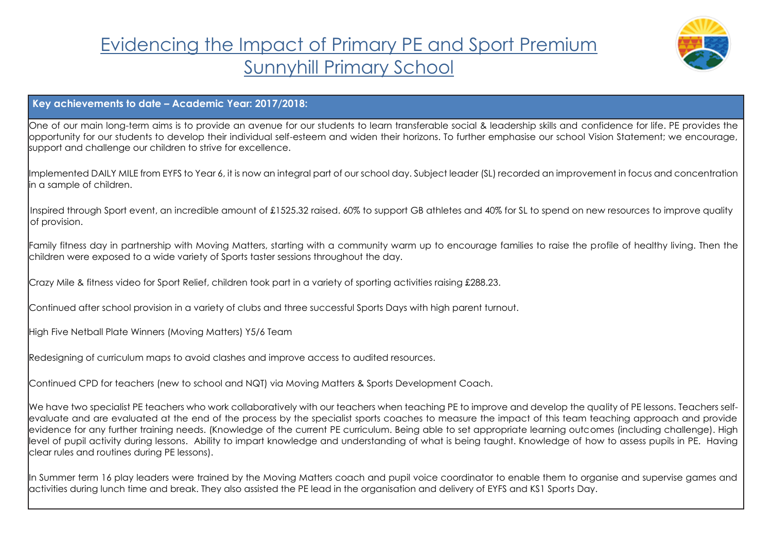## Evidencing the Impact of Primary PE and Sport Premium Sunnyhill Primary School



## **Key achievements to date – Academic Year: 2017/2018:**

One of our main long-term aims is to provide an avenue for our students to learn transferable social & leadership skills and confidence for life. PE provides the opportunity for our students to develop their individual self-esteem and widen their horizons. To further emphasise our school Vision Statement; we encourage, support and challenge our children to strive for excellence.

Implemented DAILY MILE from EYFS to Year 6, it is now an integral part of our school day. Subject leader (SL) recorded an improvement in focus and concentration in a sample of children.

Inspired through Sport event, an incredible amount of £1525.32 raised. 60% to support GB athletes and 40% for SL to spend on new resources to improve quality of provision.

Family fitness day in partnership with Moving Matters, starting with a community warm up to encourage families to raise the profile of healthy living. Then the children were exposed to a wide variety of Sports taster sessions throughout the day.

Crazy Mile & fitness video for Sport Relief, children took part in a variety of sporting activities raising £288.23.

Continued after school provision in a variety of clubs and three successful Sports Days with high parent turnout.

High Five Netball Plate Winners (Moving Matters) Y5/6 Team

Redesigning of curriculum maps to avoid clashes and improve access to audited resources.

Continued CPD for teachers (new to school and NQT) via Moving Matters & Sports Development Coach.

We have two specialist PE teachers who work collaboratively with our teachers when teaching PE to improve and develop the quality of PE lessons. Teachers selfevaluate and are evaluated at the end of the process by the specialist sports coaches to measure the impact of this team teaching approach and provide evidence for any further training needs. (Knowledge of the current PE curriculum. Being able to set appropriate learning outcomes (including challenge). High level of pupil activity during lessons. Ability to impart knowledge and understanding of what is being taught. Knowledge of how to assess pupils in PE. Having clear rules and routines during PE lessons).

In Summer term 16 play leaders were trained by the Moving Matters coach and pupil voice coordinator to enable them to organise and supervise games and activities during lunch time and break. They also assisted the PE lead in the organisation and delivery of EYFS and KS1 Sports Day.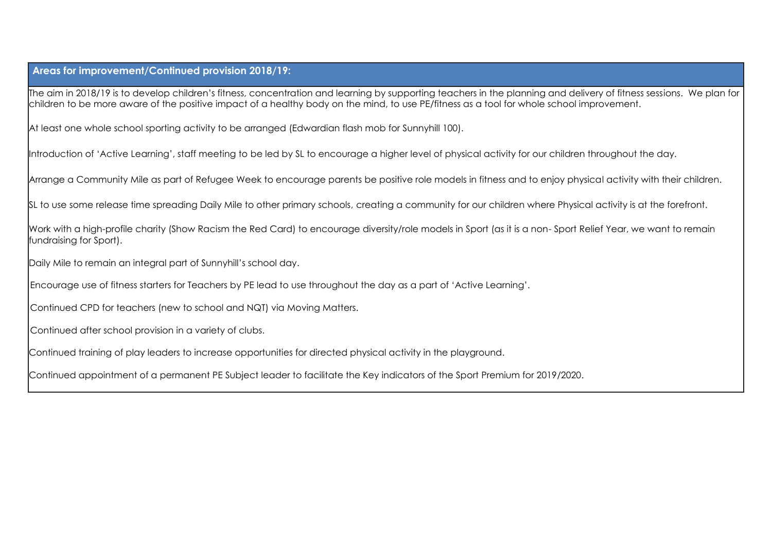## **Areas for improvement/Continued provision 2018/19:**

The aim in 2018/19 is to develop children's fitness, concentration and learning by supporting teachers in the planning and delivery of fitness sessions. We plan for children to be more aware of the positive impact of a healthy body on the mind, to use PE/fitness as a tool for whole school improvement.

At least one whole school sporting activity to be arranged (Edwardian flash mob for Sunnyhill 100).

Introduction of 'Active Learning', staff meeting to be led by SL to encourage a higher level of physical activity for our children throughout the day.

Arrange a Community Mile as part of Refugee Week to encourage parents be positive role models in fitness and to enjoy physical activity with their children.

SL to use some release time spreading Daily Mile to other primary schools, creating a community for our children where Physical activity is at the forefront.

Work with a high-profile charity (Show Racism the Red Card) to encourage diversity/role models in Sport (as it is a non- Sport Relief Year, we want to remain fundraising for Sport).

Daily Mile to remain an integral part of Sunnyhill's school day.

Encourage use of fitness starters for Teachers by PE lead to use throughout the day as a part of 'Active Learning'.

Continued CPD for teachers (new to school and NQT) via Moving Matters.

Continued after school provision in a variety of clubs.

Continued training of play leaders to increase opportunities for directed physical activity in the playground.

Continued appointment of a permanent PE Subject leader to facilitate the Key indicators of the Sport Premium for 2019/2020.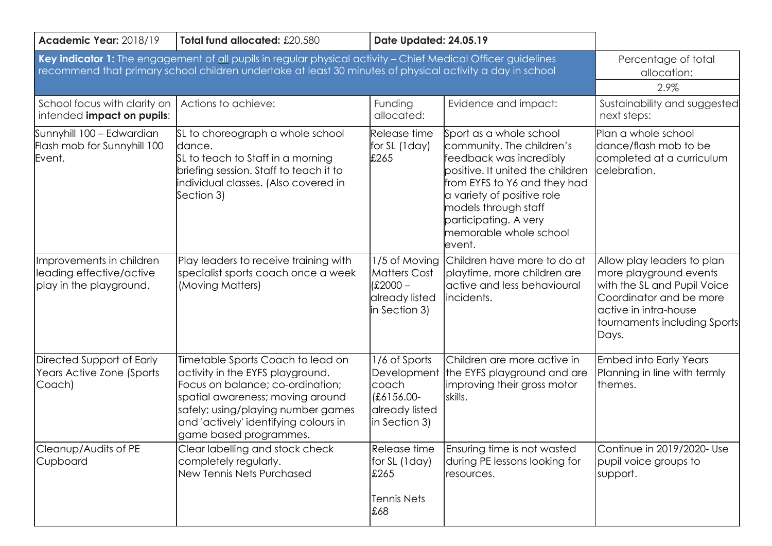| Academic Year: 2018/19                                                                                                                                                                                                     | Total fund allocated: £20,580                                                                                                                                                                                                                          | Date Updated: 24.05.19                                                                |                                                                                                                                                                                                                                                                        |                                                                                                                                                                                  |
|----------------------------------------------------------------------------------------------------------------------------------------------------------------------------------------------------------------------------|--------------------------------------------------------------------------------------------------------------------------------------------------------------------------------------------------------------------------------------------------------|---------------------------------------------------------------------------------------|------------------------------------------------------------------------------------------------------------------------------------------------------------------------------------------------------------------------------------------------------------------------|----------------------------------------------------------------------------------------------------------------------------------------------------------------------------------|
| Key indicator 1: The engagement of all pupils in regular physical activity - Chief Medical Officer guidelines<br>recommend that primary school children undertake at least 30 minutes of physical activity a day in school | Percentage of total<br>allocation:<br>2.9%                                                                                                                                                                                                             |                                                                                       |                                                                                                                                                                                                                                                                        |                                                                                                                                                                                  |
| School focus with clarity on<br>intended impact on pupils:                                                                                                                                                                 | Actions to achieve:                                                                                                                                                                                                                                    | Funding<br>allocated:                                                                 | Evidence and impact:                                                                                                                                                                                                                                                   | Sustainability and suggested<br>next steps:                                                                                                                                      |
| Sunnyhill 100 - Edwardian<br>Flash mob for Sunnyhill 100<br>Event.                                                                                                                                                         | SL to choreograph a whole school<br>dance.<br>SL to teach to Staff in a morning<br>briefing session. Staff to teach it to<br>individual classes. (Also covered in<br>Section 3)                                                                        | Release time<br>for SL (1 day)<br>£265                                                | Sport as a whole school<br>community. The children's<br>feedback was incredibly<br>bositive. It united the children<br>from EYFS to Y6 and they had<br>a variety of positive role<br>models through staff<br>participating. A very<br>memorable whole school<br>event. | Plan a whole school<br>dance/flash mob to be<br>completed at a curriculum<br>celebration.                                                                                        |
| Improvements in children<br>leading effective/active<br>play in the playground.                                                                                                                                            | Play leaders to receive training with<br>specialist sports coach once a week<br>(Moving Matters)                                                                                                                                                       | 1/5 of Moving<br><b>Matters Cost</b><br>$£2000 -$<br>already listed<br>in Section 3)  | Children have more to do at<br>playtime, more children are<br>active and less behavioural<br>lincidents.                                                                                                                                                               | Allow play leaders to plan<br>more playground events<br>with the SL and Pupil Voice<br>Coordinator and be more<br>active in intra-house<br>tournaments including Sports<br>Days. |
| Directed Support of Early<br>Years Active Zone (Sports<br>Coach)                                                                                                                                                           | Timetable Sports Coach to lead on<br>activity in the EYFS playground.<br>Focus on balance; co-ordination;<br>spatial awareness; moving around<br>safely; using/playing number games<br>and 'actively' identifying colours in<br>game based programmes. | 1/6 of Sports<br>Development<br>coach<br>£6156.00-<br>already listed<br>in Section 3) | Children are more active in<br>the EYFS playground and are<br>Improving their gross motor<br>skills.                                                                                                                                                                   | <b>Embed into Early Years</b><br>Planning in line with termly<br>themes.                                                                                                         |
| Cleanup/Audits of PE<br>Cupboard                                                                                                                                                                                           | Clear labelling and stock check<br>completely regularly.<br>New Tennis Nets Purchased                                                                                                                                                                  | Release time<br>for SL (1day)<br>£265<br><b>Tennis Nets</b><br>£68                    | Ensuring time is not wasted<br>during PE lessons looking for<br>resources.                                                                                                                                                                                             | Continue in 2019/2020- Use<br>pupil voice groups to<br>support.                                                                                                                  |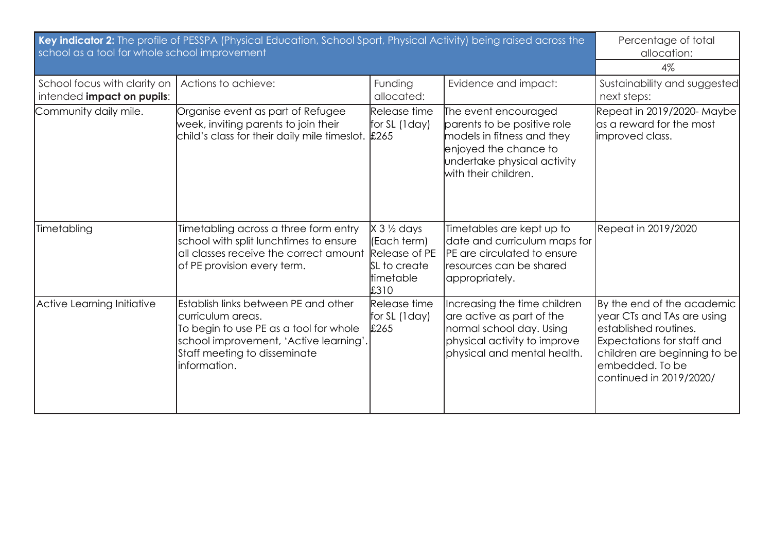| Key indicator 2: The profile of PESSPA (Physical Education, School Sport, Physical Activity) being raised across the<br>school as a tool for whole school improvement |                                                                                                                                                                                               |                                                                                                    |                                                                                                                                                                   | Percentage of total<br>allocation:<br>$4\%$                                                                                                                                                          |
|-----------------------------------------------------------------------------------------------------------------------------------------------------------------------|-----------------------------------------------------------------------------------------------------------------------------------------------------------------------------------------------|----------------------------------------------------------------------------------------------------|-------------------------------------------------------------------------------------------------------------------------------------------------------------------|------------------------------------------------------------------------------------------------------------------------------------------------------------------------------------------------------|
| School focus with clarity on<br>intended impact on pupils:                                                                                                            | Actions to achieve:                                                                                                                                                                           | Funding<br>allocated:                                                                              | Evidence and impact:                                                                                                                                              | Sustainability and suggested<br>next steps:                                                                                                                                                          |
| Community daily mile.                                                                                                                                                 | Organise event as part of Refugee<br>week, inviting parents to join their<br>child's class for their daily mile timeslot. £265                                                                | Release time<br>for SL (1 day)                                                                     | The event encouraged<br>parents to be positive role<br>models in fitness and they<br>enjoyed the chance to<br>undertake physical activity<br>with their children. | Repeat in 2019/2020-Maybe<br>as a reward for the most<br>improved class.                                                                                                                             |
| Timetabling                                                                                                                                                           | Timetabling across a three form entry<br>school with split lunchtimes to ensure<br>all classes receive the correct amount<br>of PE provision every term.                                      | $X 3 \frac{1}{2}$ days<br>(Each term)<br>Release of PE<br>SL to create<br><b>timetable</b><br>£310 | Timetables are kept up to<br>date and curriculum maps for<br><b>PE</b> are circulated to ensure<br>resources can be shared<br>appropriately.                      | Repeat in 2019/2020                                                                                                                                                                                  |
| Active Learning Initiative                                                                                                                                            | Establish links between PE and other<br>curriculum areas.<br>To begin to use PE as a tool for whole<br>school improvement, 'Active learning'<br>Staff meeting to disseminate<br>linformation. | Release time<br>for SL (1 day)<br>£265                                                             | Increasing the time children<br>are active as part of the<br>normal school day. Using<br>physical activity to improve<br>physical and mental health.              | By the end of the academic<br>year CTs and TAs are using<br>established routines.<br><b>Expectations for staff and</b><br>children are beginning to be<br>embedded. To be<br>continued in 2019/2020/ |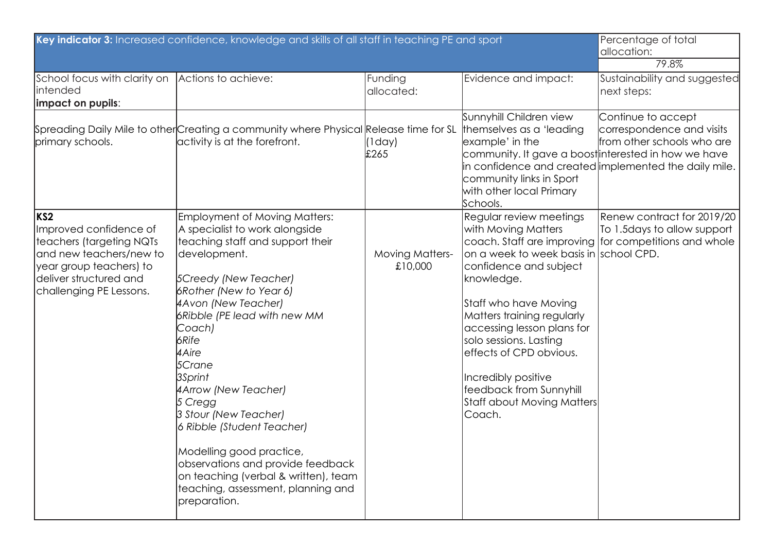|                                                                                                                                                                                  | Key indicator 3: Increased confidence, knowledge and skills of all staff in teaching PE and sport                                                                                                                                                                                                                                                                                                                                                                                                                                                |                                   |                                                                                                                                                                                                                                                                                                                                                                      | Percentage of total<br>allocation:<br>79.8%                                                                                                                                                    |
|----------------------------------------------------------------------------------------------------------------------------------------------------------------------------------|--------------------------------------------------------------------------------------------------------------------------------------------------------------------------------------------------------------------------------------------------------------------------------------------------------------------------------------------------------------------------------------------------------------------------------------------------------------------------------------------------------------------------------------------------|-----------------------------------|----------------------------------------------------------------------------------------------------------------------------------------------------------------------------------------------------------------------------------------------------------------------------------------------------------------------------------------------------------------------|------------------------------------------------------------------------------------------------------------------------------------------------------------------------------------------------|
| School focus with clarity on<br>intended<br>impact on pupils:                                                                                                                    | Actions to achieve:                                                                                                                                                                                                                                                                                                                                                                                                                                                                                                                              | Funding<br>allocated:             | Evidence and impact:                                                                                                                                                                                                                                                                                                                                                 | Sustainability and suggested<br>next steps:                                                                                                                                                    |
| primary schools.                                                                                                                                                                 | Spreading Daily Mile to other Creating a community where Physical Release time for SL<br>activity is at the forefront.                                                                                                                                                                                                                                                                                                                                                                                                                           | (1day)<br>£265                    | Sunnyhill Children view<br>themselves as a 'leading'<br>example' in the<br>community links in Sport<br>with other local Primary<br>Schools.                                                                                                                                                                                                                          | Continue to accept<br>correspondence and visits<br>from other schools who are<br>community. It gave a boost interested in how we have<br>in confidence and created implemented the daily mile. |
| KS <sub>2</sub><br>Improved confidence of<br>teachers (targeting NQTs<br>and new teachers/new to<br>year group teachers) to<br>deliver structured and<br>challenging PE Lessons. | Employment of Moving Matters:<br>A specialist to work alongside<br>teaching staff and support their<br>development.<br><b>5Creedy (New Teacher)</b><br>6Rother (New to Year 6)<br>4Avon (New Teacher)<br>6Ribble (PE lead with new MM<br>Coach)<br>6Rife<br>4 Aire<br>5Crane<br>3Sprint<br>4Arrow (New Teacher)<br>5 Cregg<br>3 Stour (New Teacher)<br>6 Ribble (Student Teacher)<br>Modelling good practice,<br>observations and provide feedback<br>on teaching (verbal & written), team<br>teaching, assessment, planning and<br>preparation. | <b>Moving Matters-</b><br>£10,000 | Regular review meetings<br>with Moving Matters<br>on a week to week basis in school CPD.<br>confidence and subject<br>knowledge.<br>Staff who have Moving<br>Matters training regularly<br>accessing lesson plans for<br>solo sessions. Lasting<br>effects of CPD obvious.<br>Incredibly positive<br>feedback from Sunnyhill<br>Staff about Moving Matters<br>Coach. | Renew contract for 2019/20<br>To 1.5 days to allow support<br>coach. Staff are improving for competitions and whole                                                                            |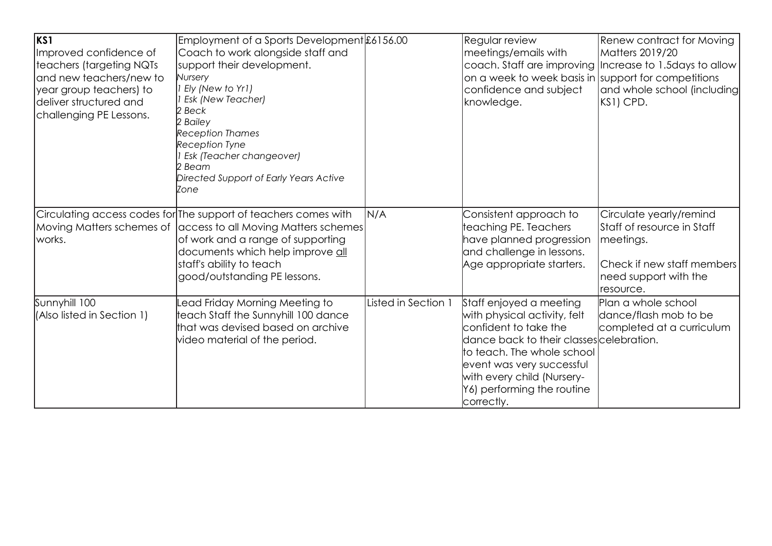| lks1<br>Improved confidence of<br>teachers (targeting NQTs<br>and new teachers/new to<br>year group teachers) to<br>deliver structured and<br>challenging PE Lessons. | Employment of a Sports Development £6156.00<br>Coach to work alongside staff and<br>support their development.<br>Nursery<br>Ely (New to Yr1)<br><b>Esk (New Teacher)</b><br>2 Beck<br>2 Bailey<br><b>Reception Thames</b><br><b>Reception Tyne</b><br>Esk (Teacher changeover)<br>2 Beam<br>Directed Support of Early Years Active<br>Izone |                     | Regular review<br>meetings/emails with<br>on a week to week basis in support for competitions<br>confidence and subject<br>knowledge.                                                                                                                             | <b>Renew contract for Moving</b><br>Matters 2019/20<br>coach. Staff are improving Increase to 1.5 days to allow<br>and whole school (including<br>KS1) CPD. |
|-----------------------------------------------------------------------------------------------------------------------------------------------------------------------|----------------------------------------------------------------------------------------------------------------------------------------------------------------------------------------------------------------------------------------------------------------------------------------------------------------------------------------------|---------------------|-------------------------------------------------------------------------------------------------------------------------------------------------------------------------------------------------------------------------------------------------------------------|-------------------------------------------------------------------------------------------------------------------------------------------------------------|
| works.                                                                                                                                                                | Circulating access codes for The support of teachers comes with<br>Moving Matters schemes of access to all Moving Matters schemes<br>of work and a range of supporting<br>documents which help improve all<br>staff's ability to teach<br>good/outstanding PE lessons.                                                                       | N/A                 | Consistent approach to<br>teaching PE. Teachers<br>have planned progression<br>and challenge in lessons.<br>Age appropriate starters.                                                                                                                             | Circulate yearly/remind<br>Staff of resource in Staff<br>meetings.<br>Check if new staff members<br>need support with the<br>resource.                      |
| Sunnyhill 100<br>(Also listed in Section 1)                                                                                                                           | ead Friday Morning Meeting to<br>teach Staff the Sunnyhill 100 dance<br>that was devised based on archive<br>video material of the period.                                                                                                                                                                                                   | Listed in Section 1 | Staff enjoyed a meeting<br>with physical activity, felt<br>confident to take the<br>dance back to their classes celebration.<br>to teach. The whole school<br>event was very successful<br>with every child (Nursery-<br>Y6) performing the routine<br>correctly. | Plan a whole school<br>dance/flash mob to be<br>completed at a curriculum                                                                                   |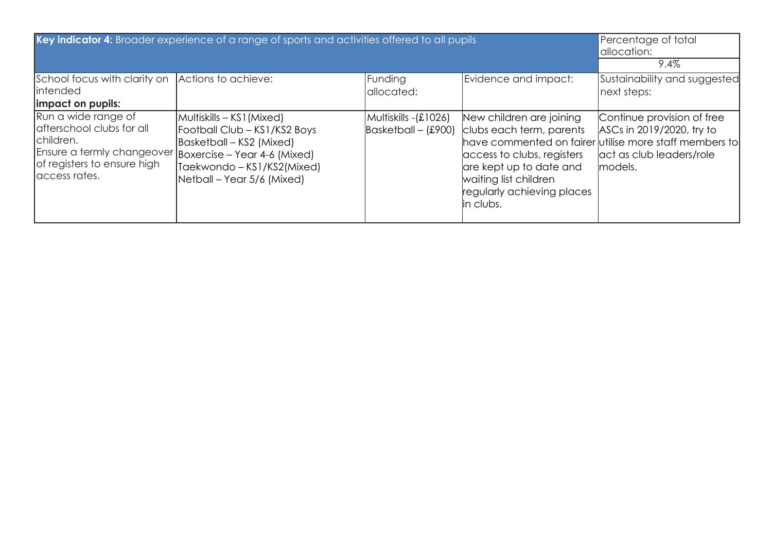| Key indicator 4: Broader experience of a range of sports and activities offered to all pupils                                                                             |                                                                                                                                                   |                                                                  |                                                                                                                                                                                   | Percentage of total<br>allocation:<br>$9.4\%$                                                                                                            |
|---------------------------------------------------------------------------------------------------------------------------------------------------------------------------|---------------------------------------------------------------------------------------------------------------------------------------------------|------------------------------------------------------------------|-----------------------------------------------------------------------------------------------------------------------------------------------------------------------------------|----------------------------------------------------------------------------------------------------------------------------------------------------------|
| School focus with clarity on Actions to achieve:<br>intended<br>impact on pupils:                                                                                         |                                                                                                                                                   | Funding<br>allocated:                                            | Evidence and impact:                                                                                                                                                              | Sustainability and suggested<br>next steps:                                                                                                              |
| Run a wide range of<br>afterschool clubs for all<br>children.<br>Ensure a termly changeover Boxercise - Year 4-6 (Mixed)<br>of registers to ensure high<br>laccess rates. | Multiskills – KS1 (Mixed)<br>Football Club - KS1/KS2 Boys<br>Basketball – KS2 (Mixed)<br>Taekwondo – KS1/KS2(Mixed)<br>Netball – Year 5/6 (Mixed) | Multiskills - (£1026)<br>$\textsf{Basketball} - \textsf{(£900)}$ | New children are joining<br>clubs each term, parents<br>access to clubs, registers<br>are kept up to date and<br>waiting list children<br>regularly achieving places<br>in clubs. | Continue provision of free<br>ASCs in 2019/2020, try to<br>have commented on fairer utilise more staff members to<br>act as club leaders/role<br>models. |